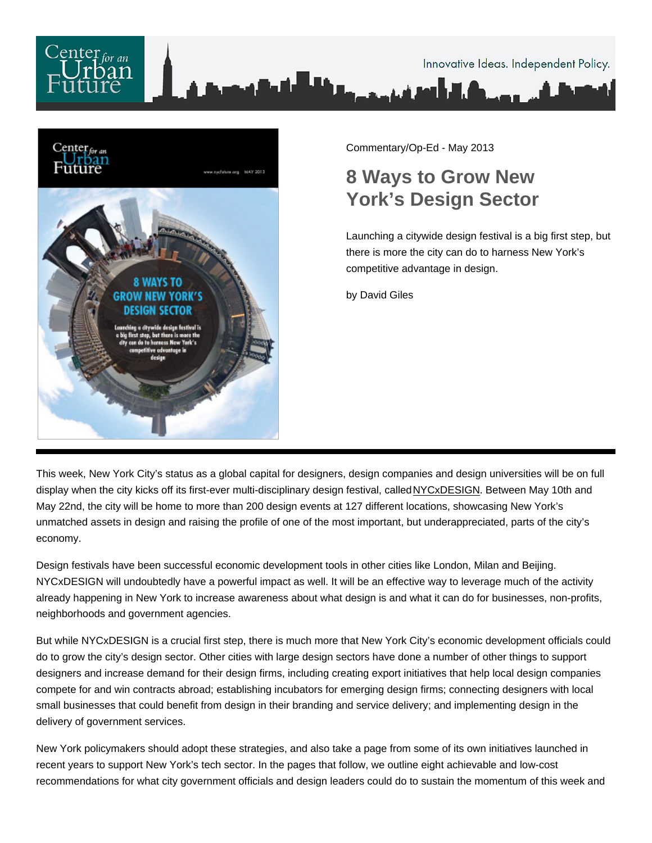

Commentary/Op-Ed - May 2013

# 8 Ways to Grow New York's Design Sector

Launching a citywide design festival is a big first step, but there is more the city can do to harness New York's competitive advantage in design.

by David Giles

This week, New York City's status as a global capital for designers, design companies and design universities will be on full display when the city kicks off its first-ever multi-disciplinary design festival, called [NYCxDESIGN.](http://nycxdesign.com/) Between May 10th and May 22nd, the city will be home to more than 200 design events at 127 different locations, showcasing New York's unmatched assets in design and raising the profile of one of the most important, but underappreciated, parts of the city's economy.

Design festivals have been successful economic development tools in other cities like London, Milan and Beijing. NYCxDESIGN will undoubtedly have a powerful impact as well. It will be an effective way to leverage much of the activity already happening in New York to increase awareness about what design is and what it can do for businesses, non-profits, neighborhoods and government agencies.

But while NYCxDESIGN is a crucial first step, there is much more that New York City's economic development officials could do to grow the city's design sector. Other cities with large design sectors have done a number of other things to support designers and increase demand for their design firms, including creating export initiatives that help local design companies compete for and win contracts abroad; establishing incubators for emerging design firms; connecting designers with local small businesses that could benefit from design in their branding and service delivery; and implementing design in the delivery of government services.

New York policymakers should adopt these strategies, and also take a page from some of its own initiatives launched in recent years to support New York's tech sector. In the pages that follow, we outline eight achievable and low-cost recommendations for what city government officials and design leaders could do to sustain the momentum of this week and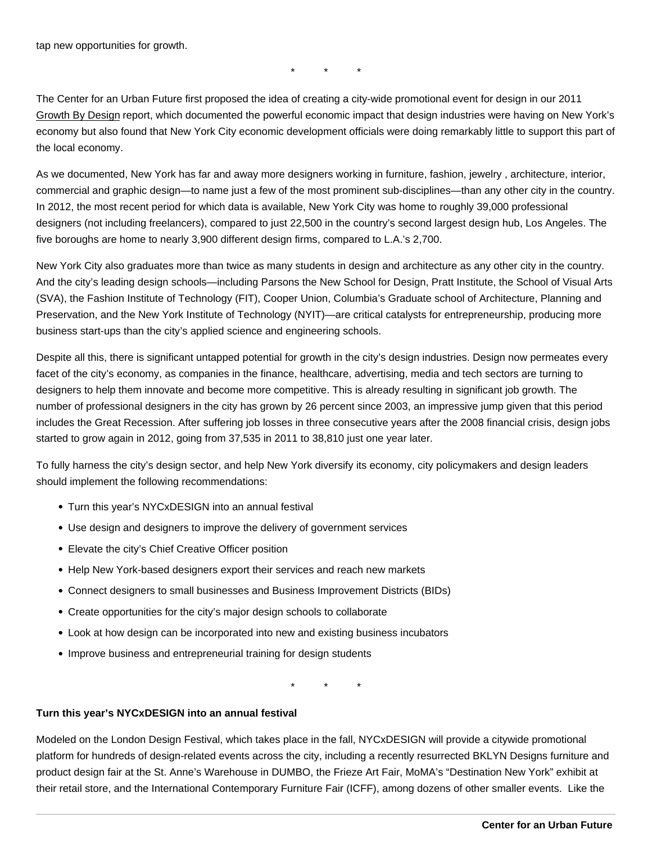tap new opportunities for growth.

\* \* \*

The Center for an Urban Future first proposed the idea of creating a city-wide promotional event for design in our 2011 [Growth By Design](http://nycfuture.org/research/publications/growth-by-design) report, which documented the powerful economic impact that design industries were having on New York's economy but also found that New York City economic development officials were doing remarkably little to support this part of the local economy.

As we documented, New York has far and away more designers working in furniture, fashion, jewelry , architecture, interior, commercial and graphic design—to name just a few of the most prominent sub-disciplines—than any other city in the country. In 2012, the most recent period for which data is available, New York City was home to roughly 39,000 professional designers (not including freelancers), compared to just 22,500 in the country's second largest design hub, Los Angeles. The five boroughs are home to nearly 3,900 different design firms, compared to L.A.'s 2,700.

New York City also graduates more than twice as many students in design and architecture as any other city in the country. And the city's leading design schools—including Parsons the New School for Design, Pratt Institute, the School of Visual Arts (SVA), the Fashion Institute of Technology (FIT), Cooper Union, Columbia's Graduate school of Architecture, Planning and Preservation, and the New York Institute of Technology (NYIT)—are critical catalysts for entrepreneurship, producing more business start-ups than the city's applied science and engineering schools.

Despite all this, there is significant untapped potential for growth in the city's design industries. Design now permeates every facet of the city's economy, as companies in the finance, healthcare, advertising, media and tech sectors are turning to designers to help them innovate and become more competitive. This is already resulting in significant job growth. The number of professional designers in the city has grown by 26 percent since 2003, an impressive jump given that this period includes the Great Recession. After suffering job losses in three consecutive years after the 2008 financial crisis, design jobs started to grow again in 2012, going from 37,535 in 2011 to 38,810 just one year later.

To fully harness the city's design sector, and help New York diversify its economy, city policymakers and design leaders should implement the following recommendations:

- Turn this year's NYCxDESIGN into an annual festival
- Use design and designers to improve the delivery of government services
- Elevate the city's Chief Creative Officer position
- Help New York-based designers export their services and reach new markets
- Connect designers to small businesses and Business Improvement Districts (BIDs)
- Create opportunities for the city's major design schools to collaborate
- Look at how design can be incorporated into new and existing business incubators
- Improve business and entrepreneurial training for design students

\* \* \*

Turn this year's NYCxDESIGN into an annual festival

Modeled on the London Design Festival, which takes place in the fall, NYCxDESIGN will provide a citywide promotional platform for hundreds of design-related events across the city, including a recently resurrected BKLYN Designs furniture and product design fair at the St. Anne's Warehouse in DUMBO, the Frieze Art Fair, MoMA's "Destination New York" exhibit at their retail store, and the International Contemporary Furniture Fair (ICFF), among dozens of other smaller events. Like the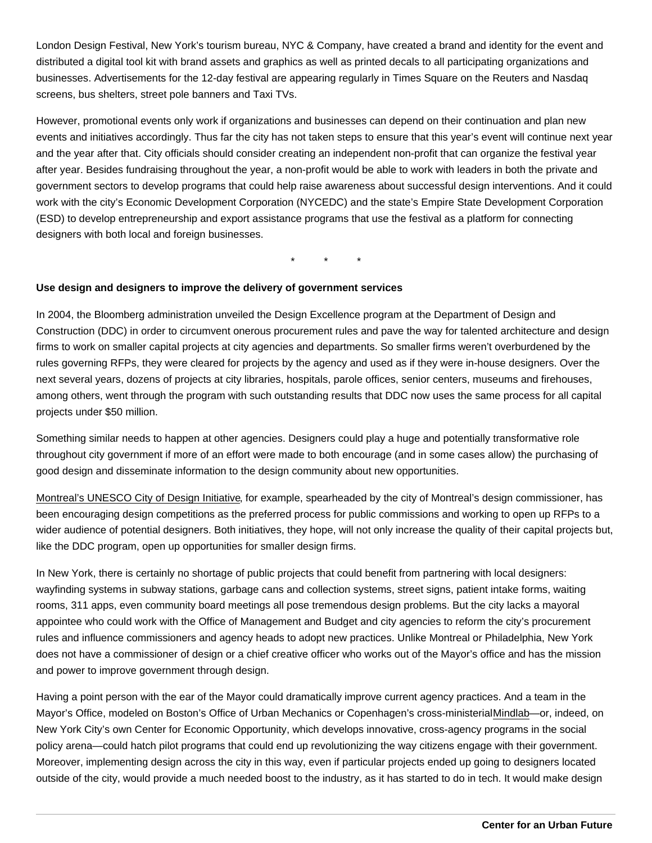London Design Festival, New York's tourism bureau, NYC & Company, have created a brand and identity for the event and distributed a digital tool kit with brand assets and graphics as well as printed decals to all participating organizations and businesses. Advertisements for the 12-day festival are appearing regularly in Times Square on the Reuters and Nasdaq screens, bus shelters, street pole banners and Taxi TVs.

However, promotional events only work if organizations and businesses can depend on their continuation and plan new events and initiatives accordingly. Thus far the city has not taken steps to ensure that this year's event will continue next year and the year after that. City officials should consider creating an independent non-profit that can organize the festival year after year. Besides fundraising throughout the year, a non-profit would be able to work with leaders in both the private and government sectors to develop programs that could help raise awareness about successful design interventions. And it could work with the city's Economic Development Corporation (NYCEDC) and the state's Empire State Development Corporation (ESD) to develop entrepreneurship and export assistance programs that use the festival as a platform for connecting designers with both local and foreign businesses.

\* \* \*

Use design and designers to improve the delivery of government services

In 2004, the Bloomberg administration unveiled the Design Excellence program at the Department of Design and Construction (DDC) in order to circumvent onerous procurement rules and pave the way for talented architecture and design firms to work on smaller capital projects at city agencies and departments. So smaller firms weren't overburdened by the rules governing RFPs, they were cleared for projects by the agency and used as if they were in-house designers. Over the next several years, dozens of projects at city libraries, hospitals, parole offices, senior centers, museums and firehouses, among others, went through the program with such outstanding results that DDC now uses the same process for all capital projects under \$50 million.

Something similar needs to happen at other agencies. Designers could play a huge and potentially transformative role throughout city government if more of an effort were made to both encourage (and in some cases allow) the purchasing of good design and disseminate information to the design community about new opportunities.

[Montreal's UNESCO City of Design Initiative](http://mtlunescodesign.com/en/projet/About-Montreal-UNESCO-City-of-design/2), for example, spearheaded by the city of Montreal's design commissioner, has been encouraging design competitions as the preferred process for public commissions and working to open up RFPs to a wider audience of potential designers. Both initiatives, they hope, will not only increase the quality of their capital projects but, like the DDC program, open up opportunities for smaller design firms.

In New York, there is certainly no shortage of public projects that could benefit from partnering with local designers: wayfinding systems in subway stations, garbage cans and collection systems, street signs, patient intake forms, waiting rooms, 311 apps, even community board meetings all pose tremendous design problems. But the city lacks a mayoral appointee who could work with the Office of Management and Budget and city agencies to reform the city's procurement rules and influence commissioners and agency heads to adopt new practices. Unlike Montreal or Philadelphia, New York does not have a commissioner of design or a chief creative officer who works out of the Mayor's office and has the mission and power to improve government through design.

Having a point person with the ear of the Mayor could dramatically improve current agency practices. And a team in the Mayor's Office, modeled on Boston's Office of Urban Mechanics or Copenhagen's cross-ministerial [Mindlab](http://www.mind-lab.dk/)—or, indeed, on New York City's own Center for Economic Opportunity, which develops innovative, cross-agency programs in the social policy arena—could hatch pilot programs that could end up revolutionizing the way citizens engage with their government. Moreover, implementing design across the city in this way, even if particular projects ended up going to designers located outside of the city, would provide a much needed boost to the industry, as it has started to do in tech. It would make design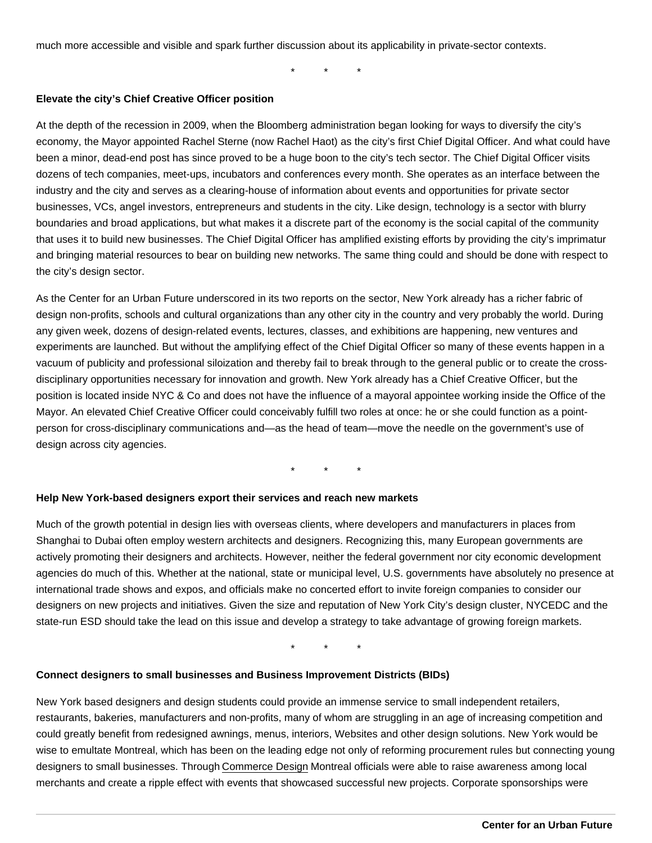much more accessible and visible and spark further discussion about its applicability in private-sector contexts.

\* \* \*

Elevate the city's Chief Creative Officer position

At the depth of the recession in 2009, when the Bloomberg administration began looking for ways to diversify the city's economy, the Mayor appointed Rachel Sterne (now Rachel Haot) as the city's first Chief Digital Officer. And what could have been a minor, dead-end post has since proved to be a huge boon to the city's tech sector. The Chief Digital Officer visits dozens of tech companies, meet-ups, incubators and conferences every month. She operates as an interface between the industry and the city and serves as a clearing-house of information about events and opportunities for private sector businesses, VCs, angel investors, entrepreneurs and students in the city. Like design, technology is a sector with blurry boundaries and broad applications, but what makes it a discrete part of the economy is the social capital of the community that uses it to build new businesses. The Chief Digital Officer has amplified existing efforts by providing the city's imprimatur and bringing material resources to bear on building new networks. The same thing could and should be done with respect to the city's design sector.

As the Center for an Urban Future underscored in its two reports on the sector, New York already has a richer fabric of design non-profits, schools and cultural organizations than any other city in the country and very probably the world. During any given week, dozens of design-related events, lectures, classes, and exhibitions are happening, new ventures and experiments are launched. But without the amplifying effect of the Chief Digital Officer so many of these events happen in a vacuum of publicity and professional siloization and thereby fail to break through to the general public or to create the crossdisciplinary opportunities necessary for innovation and growth. New York already has a Chief Creative Officer, but the position is located inside NYC & Co and does not have the influence of a mayoral appointee working inside the Office of the Mayor. An elevated Chief Creative Officer could conceivably fulfill two roles at once: he or she could function as a pointperson for cross-disciplinary communications and—as the head of team—move the needle on the government's use of design across city agencies.

\* \* \*

Help New York-based designers export their services and reach new markets

Much of the growth potential in design lies with overseas clients, where developers and manufacturers in places from Shanghai to Dubai often employ western architects and designers. Recognizing this, many European governments are actively promoting their designers and architects. However, neither the federal government nor city economic development agencies do much of this. Whether at the national, state or municipal level, U.S. governments have absolutely no presence at international trade shows and expos, and officials make no concerted effort to invite foreign companies to consider our designers on new projects and initiatives. Given the size and reputation of New York City's design cluster, NYCEDC and the state-run ESD should take the lead on this issue and develop a strategy to take advantage of growing foreign markets.

\* \* \*

Connect designers to small businesses and Business Improvement Districts (BIDs)

New York based designers and design students could provide an immense service to small independent retailers, restaurants, bakeries, manufacturers and non-profits, many of whom are struggling in an age of increasing competition and could greatly benefit from redesigned awnings, menus, interiors, Websites and other design solutions. New York would be wise to emultate Montreal, which has been on the leading edge not only of reforming procurement rules but connecting young designers to small businesses. Through [Commerce Design](http://ville.montreal.qc.ca/portal/page?_dad=portal&_pageid=5497,26455672&_schema=PORTAL) Montreal officials were able to raise awareness among local merchants and create a ripple effect with events that showcased successful new projects. Corporate sponsorships were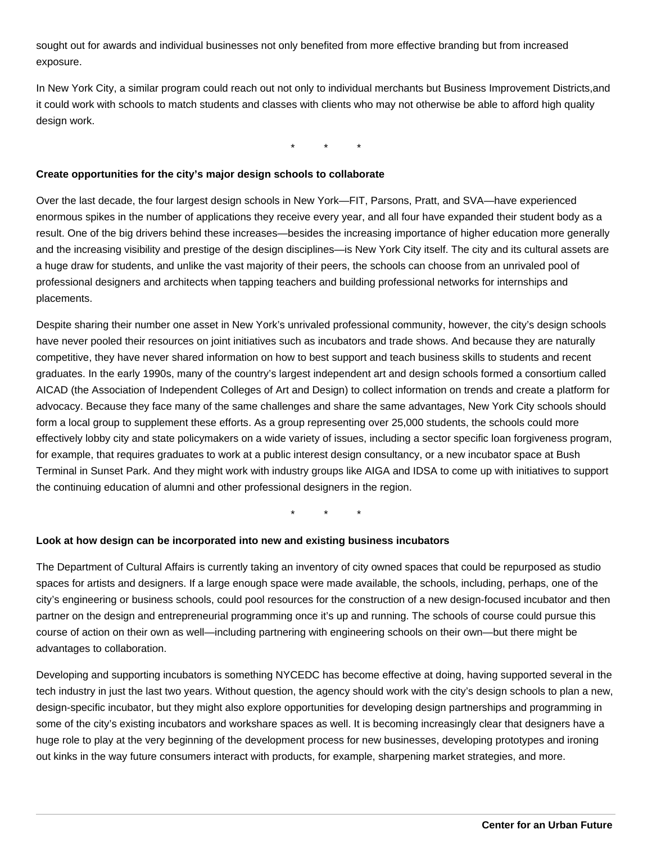sought out for awards and individual businesses not only benefited from more effective branding but from increased exposure.

In New York City, a similar program could reach out not only to individual merchants but Business Improvement Districts, and it could work with schools to match students and classes with clients who may not otherwise be able to afford high quality design work.

\* \* \*

#### **Create opportunities for the city's major design schools to collaborate**

Over the last decade, the four largest design schools in New York—FIT, Parsons, Pratt, and SVA—have experienced enormous spikes in the number of applications they receive every year, and all four have expanded their student body as a result. One of the big drivers behind these increases—besides the increasing importance of higher education more generally and the increasing visibility and prestige of the design disciplines—is New York City itself. The city and its cultural assets are a huge draw for students, and unlike the vast majority of their peers, the schools can choose from an unrivaled pool of professional designers and architects when tapping teachers and building professional networks for internships and placements.

Despite sharing their number one asset in New York's unrivaled professional community, however, the city's design schools have never pooled their resources on joint initiatives such as incubators and trade shows. And because they are naturally competitive, they have never shared information on how to best support and teach business skills to students and recent graduates. In the early 1990s, many of the country's largest independent art and design schools formed a consortium called AICAD (the Association of Independent Colleges of Art and Design) to collect information on trends and create a platform for advocacy. Because they face many of the same challenges and share the same advantages, New York City schools should form a local group to supplement these efforts. As a group representing over 25,000 students, the schools could more effectively lobby city and state policymakers on a wide variety of issues, including a sector specific loan forgiveness program, for example, that requires graduates to work at a public interest design consultancy, or a new incubator space at Bush Terminal in Sunset Park. And they might work with industry groups like AIGA and IDSA to come up with initiatives to support the continuing education of alumni and other professional designers in the region.

\* \* \*

### **Look at how design can be incorporated into new and existing business incubators**

The Department of Cultural Affairs is currently taking an inventory of city owned spaces that could be repurposed as studio spaces for artists and designers. If a large enough space were made available, the schools, including, perhaps, one of the city's engineering or business schools, could pool resources for the construction of a new design-focused incubator and then partner on the design and entrepreneurial programming once it's up and running. The schools of course could pursue this course of action on their own as well—including partnering with engineering schools on their own—but there might be advantages to collaboration.

Developing and supporting incubators is something NYCEDC has become effective at doing, having supported several in the tech industry in just the last two years. Without question, the agency should work with the city's design schools to plan a new, design-specific incubator, but they might also explore opportunities for developing design partnerships and programming in some of the city's existing incubators and workshare spaces as well. It is becoming increasingly clear that designers have a huge role to play at the very beginning of the development process for new businesses, developing prototypes and ironing out kinks in the way future consumers interact with products, for example, sharpening market strategies, and more.